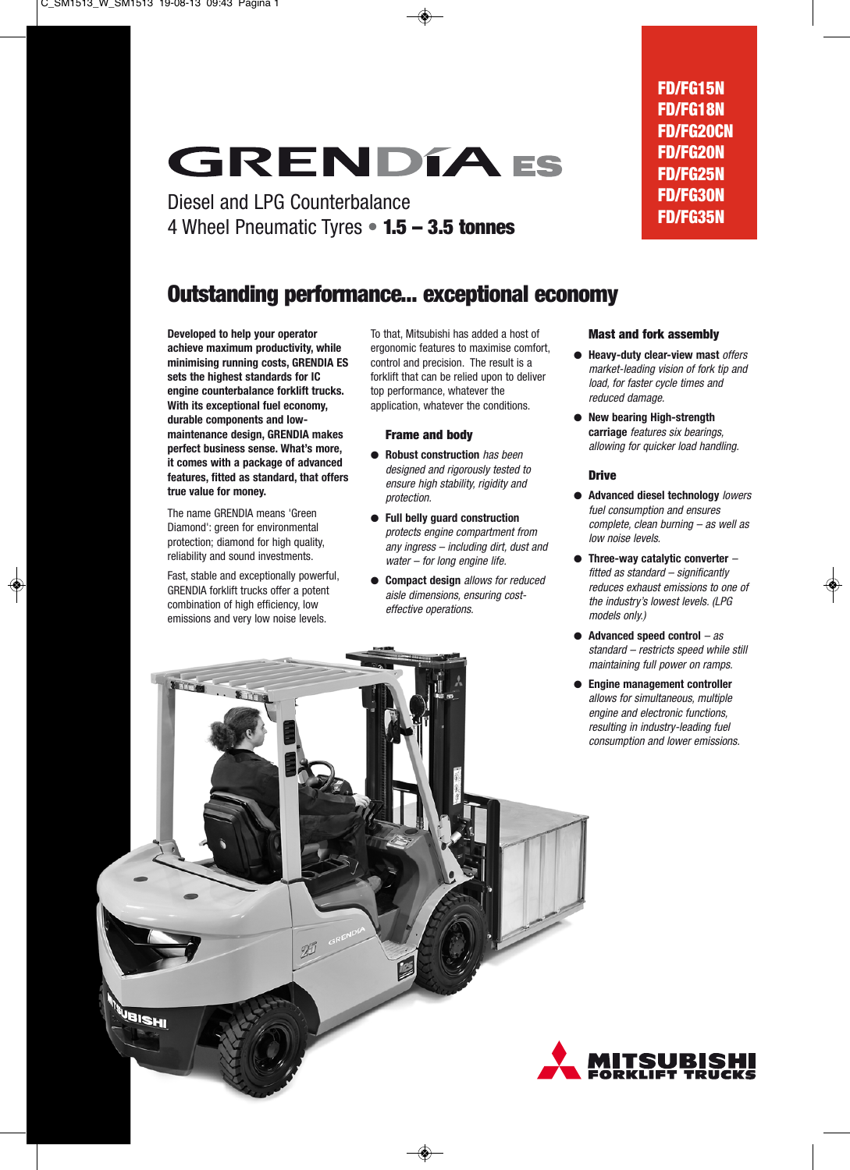## **GRENDIA ES**

Diesel and LPG Counterbalance 4 Wheel Pneumatic Tyres **• 1.5 – 3.5 tonnes**

## **Outstanding performance... exceptional economy**

**Developed to help your operator achieve maximum productivity, while minimising running costs, GRENDIA ES sets the highest standards for IC engine counterbalance forklift trucks. With its exceptional fuel economy, durable components and lowmaintenance design, GRENDIA makes perfect business sense. What's more, it comes with a package of advanced features, fitted as standard, that offers true value for money.**

The name GRENDIA means 'Green Diamond': green for environmental protection; diamond for high quality, reliability and sound investments.

Fast, stable and exceptionally powerful, GRENDIA forklift trucks offer a potent combination of high efficiency, low emissions and very low noise levels.

To that, Mitsubishi has added a host of ergonomic features to maximise comfort, control and precision. The result is a forklift that can be relied upon to deliver top performance, whatever the application, whatever the conditions.

#### **Frame and body**

- **Robust construction** has been designed and rigorously tested to ensure high stability, rigidity and protection.
- **Full belly guard construction** protects engine compartment from any ingress – including dirt, dust and water – for long engine life.
- **Compact design** allows for reduced aisle dimensions, ensuring costeffective operations.

#### **Mast and fork assembly**

- **Heavy-duty clear-view mast** offers market-leading vision of fork tip and load, for faster cycle times and reduced damage.
- **New bearing High-strength carriage** features six bearings, allowing for quicker load handling.

#### **Drive**

- **Advanced diesel technology** lowers fuel consumption and ensures complete, clean burning – as well as low noise levels.
- **Three-way catalytic converter**  fitted as standard – significantly reduces exhaust emissions to one of the industry's lowest levels. (LPG models only.)
- **Advanced speed control** as standard – restricts speed while still maintaining full power on ramps.
- **Engine management controller** allows for simultaneous, multiple engine and electronic functions, resulting in industry-leading fuel consumption and lower emissions.





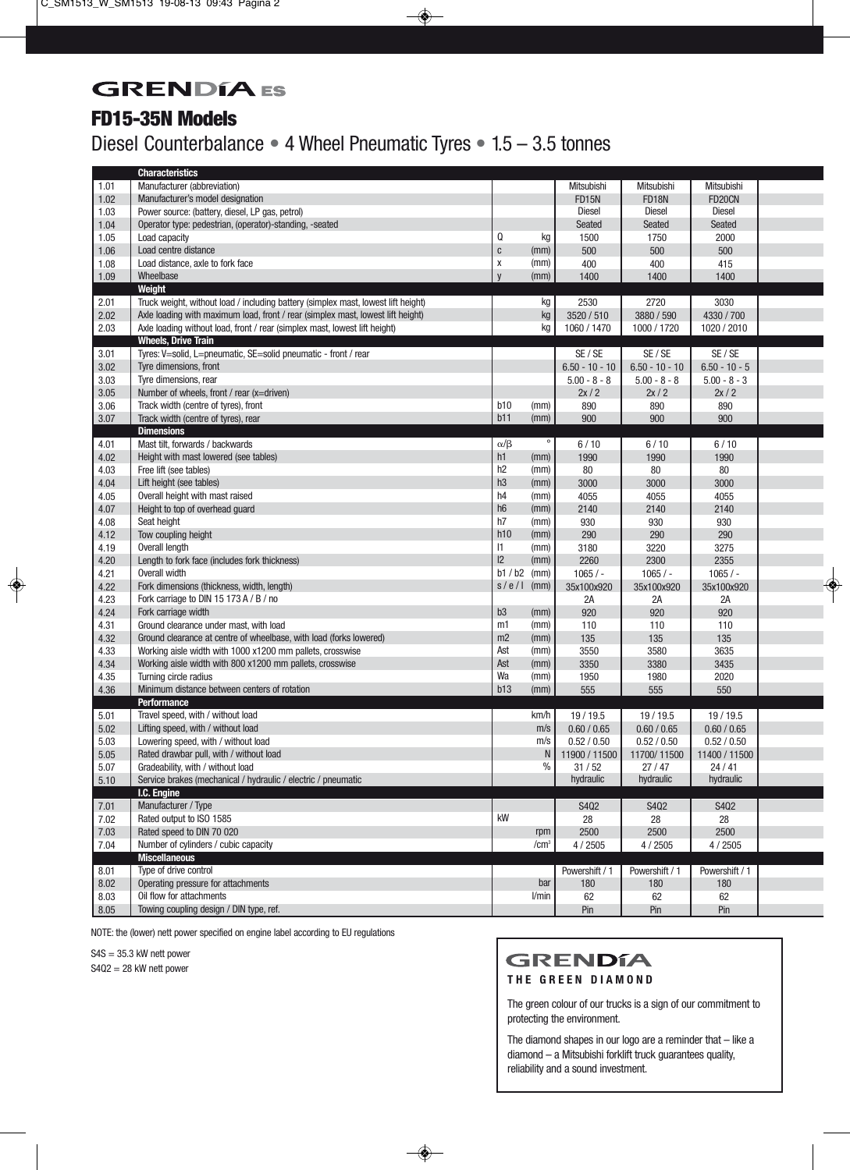## **GRENDIA** ES

## **FD15-35N Models**

## Diesel Counterbalance **•** 4 Wheel Pneumatic Tyres **•** 1.5 – 3.5 tonnes

|      | <b>Characteristics</b>                                                            |                |                  |                   |                  |                 |  |
|------|-----------------------------------------------------------------------------------|----------------|------------------|-------------------|------------------|-----------------|--|
| 1.01 | Manufacturer (abbreviation)                                                       |                |                  | Mitsubishi        | Mitsubishi       | Mitsubishi      |  |
| 1.02 | Manufacturer's model designation                                                  |                |                  | <b>FD15N</b>      | <b>FD18N</b>     | FD20CN          |  |
| 1.03 | Power source: (battery, diesel, LP gas, petrol)                                   |                |                  | <b>Diesel</b>     | <b>Diesel</b>    | <b>Diesel</b>   |  |
| 1.04 | Operator type: pedestrian, (operator)-standing, -seated                           |                |                  | <b>Seated</b>     | Seated           | Seated          |  |
| 1.05 | Load capacity                                                                     | Q              | kg               | 1500              | 1750             | 2000            |  |
| 1.06 | Load centre distance                                                              | $\mathbf c$    | (mm)             | 500               | 500              | 500             |  |
| 1.08 | Load distance, axle to fork face                                                  | X              | (mm)             | 400               | 400              | 415             |  |
| 1.09 | Wheelbase                                                                         | y              | (mm)             | 1400              | 1400             | 1400            |  |
|      | Weight                                                                            |                |                  |                   |                  |                 |  |
| 2.01 | Truck weight, without load / including battery (simplex mast, lowest lift height) |                | kg               | 2530              | 2720             | 3030            |  |
| 2.02 | Axle loading with maximum load, front / rear (simplex mast, lowest lift height)   |                | kg               | 3520 / 510        | 3880 / 590       | 4330 / 700      |  |
| 2.03 | Axle loading without load, front / rear (simplex mast, lowest lift height)        |                | kg               | 1060 / 1470       | 1000 / 1720      | 1020 / 2010     |  |
|      | <b>Wheels, Drive Train</b>                                                        |                |                  |                   |                  |                 |  |
| 3.01 | Tyres: V=solid, L=pneumatic, SE=solid pneumatic - front / rear                    |                |                  | SE / SE           | SE / SE          | SE / SE         |  |
| 3.02 | Tyre dimensions, front                                                            |                |                  | $6.50 - 10 - 10$  | $6.50 - 10 - 10$ | $6.50 - 10 - 5$ |  |
| 3.03 | Tyre dimensions, rear                                                             |                |                  | $5.00 - 8 - 8$    | $5.00 - 8 - 8$   | $5.00 - 8 - 3$  |  |
| 3.05 | Number of wheels, front / rear (x=driven)                                         |                |                  | 2x/2              | 2x/2             | 2x/2            |  |
| 3.06 | Track width (centre of tyres), front                                              | b10            | (mm)             | 890               | 890              | 890             |  |
| 3.07 | Track width (centre of tyres), rear                                               | b11            | (mm)             | 900               | 900              | 900             |  |
|      | <b>Dimensions</b>                                                                 |                |                  |                   |                  |                 |  |
| 4.01 | Mast tilt, forwards / backwards                                                   | $\alpha/\beta$ | $\circ$          | 6/10              | 6/10             | 6/10            |  |
| 4.02 | Height with mast lowered (see tables)                                             | h1             | (mm)             | 1990              | 1990             | 1990            |  |
| 4.03 | Free lift (see tables)                                                            | h2             | (mm)             | 80                | 80               | 80              |  |
| 4.04 | Lift height (see tables)                                                          | h3             | (mm)             | 3000              | 3000             | 3000            |  |
| 4.05 | Overall height with mast raised                                                   | h4             | (mm)             | 4055              | 4055             | 4055            |  |
| 4.07 | Height to top of overhead guard                                                   | h6             | (mm)             | 2140              | 2140             | 2140            |  |
| 4.08 | Seat height                                                                       | h7             | (mm)             | 930               | 930              | 930             |  |
| 4.12 | Tow coupling height                                                               | h10            | (mm)             | 290               | 290              | 290             |  |
| 4.19 | Overall length                                                                    | 1              | (mm)             | 3180              | 3220             | 3275            |  |
| 4.20 | Length to fork face (includes fork thickness)                                     | $ 2\rangle$    | (mm)             | 2260              | 2300             | 2355            |  |
| 4.21 | Overall width                                                                     | b1/b2          | (mm)             | $1065/ -$         | $1065/ -$        | $1065/ -$       |  |
| 4.22 | Fork dimensions (thickness, width, length)                                        | s/e/l          | (mm)             | 35x100x920        | 35x100x920       | 35x100x920      |  |
| 4.23 | Fork carriage to DIN 15 173 A / B / no                                            |                |                  | 2A                | 2A               | 2A              |  |
| 4.24 | Fork carriage width                                                               | b <sub>3</sub> | (mm)             | 920               | 920              | 920             |  |
| 4.31 | Ground clearance under mast, with load                                            | m1             | (mm)             | 110               | 110              | 110             |  |
| 4.32 | Ground clearance at centre of wheelbase, with load (forks lowered)                | m2             | (mm)             | 135               | 135              | 135             |  |
| 4.33 | Working aisle width with 1000 x1200 mm pallets, crosswise                         | Ast            | (mm)             | 3550              | 3580             | 3635            |  |
| 4.34 | Working aisle width with 800 x1200 mm pallets, crosswise                          | Ast            | (mm)             | 3350              | 3380             | 3435            |  |
| 4.35 | Turning circle radius                                                             | Wa             | (mm)             | 1950              | 1980             | 2020            |  |
| 4.36 | Minimum distance between centers of rotation                                      | b13            | (mm)             | 555               | 555              | 550             |  |
|      | <b>Performance</b>                                                                |                |                  |                   |                  |                 |  |
| 5.01 | Travel speed, with / without load                                                 |                | km/h             | 19 / 19.5         | 19/19.5          | 19 / 19.5       |  |
| 5.02 | Lifting speed, with / without load                                                |                | m/s              | 0.60 / 0.65       | 0.60 / 0.65      | 0.60 / 0.65     |  |
| 5.03 | Lowering speed, with / without load                                               |                | m/s              | 0.52 / 0.50       | 0.52 / 0.50      | 0.52 / 0.50     |  |
| 5.05 | Rated drawbar pull, with / without load                                           |                |                  | N   11900 / 11500 | 11700/11500      | 11400 / 11500   |  |
| 5.07 | Gradeability, with / without load                                                 |                | $\%$             | 31/52             | 27/47            | 24/41           |  |
| 5.10 | Service brakes (mechanical / hydraulic / electric / pneumatic                     |                |                  | hydraulic         | hydraulic        | hydraulic       |  |
|      | I.C. Engine                                                                       |                |                  |                   |                  |                 |  |
| 7.01 | Manufacturer / Type                                                               |                |                  | S402              | S402             | S402            |  |
| 7.02 | Rated output to ISO 1585                                                          | kW             |                  | 28                | 28               | 28              |  |
| 7.03 | Rated speed to DIN 70 020                                                         |                | rpm              | 2500              | 2500             | 2500            |  |
| 7.04 | Number of cylinders / cubic capacity                                              |                | /cm <sup>3</sup> | 4 / 2505          | 4/2505           | 4/2505          |  |
|      | <b>Miscellaneous</b>                                                              |                |                  |                   |                  |                 |  |
| 8.01 | Type of drive control                                                             |                |                  | Powershift / 1    | Powershift / 1   | Powershift / 1  |  |
| 8.02 | Operating pressure for attachments                                                |                | bar              | 180               | 180              | 180             |  |
| 8.03 | Oil flow for attachments                                                          |                | l/min            | 62                | 62               | 62              |  |
| 8.05 | Towing coupling design / DIN type, ref.                                           |                |                  | Pin               | Pin              | Pin             |  |

NOTE: the (lower) nett power specified on engine label according to EU regulations

 $S4S = 35.3$  kW nett power

S4Q2 = 28 kW nett power

#### **GRENDÍA THE GREEN DIAMOND**

The green colour of our trucks is a sign of our commitment to protecting the environment.

The diamond shapes in our logo are a reminder that – like a diamond – a Mitsubishi forklift truck guarantees quality, reliability and a sound investment.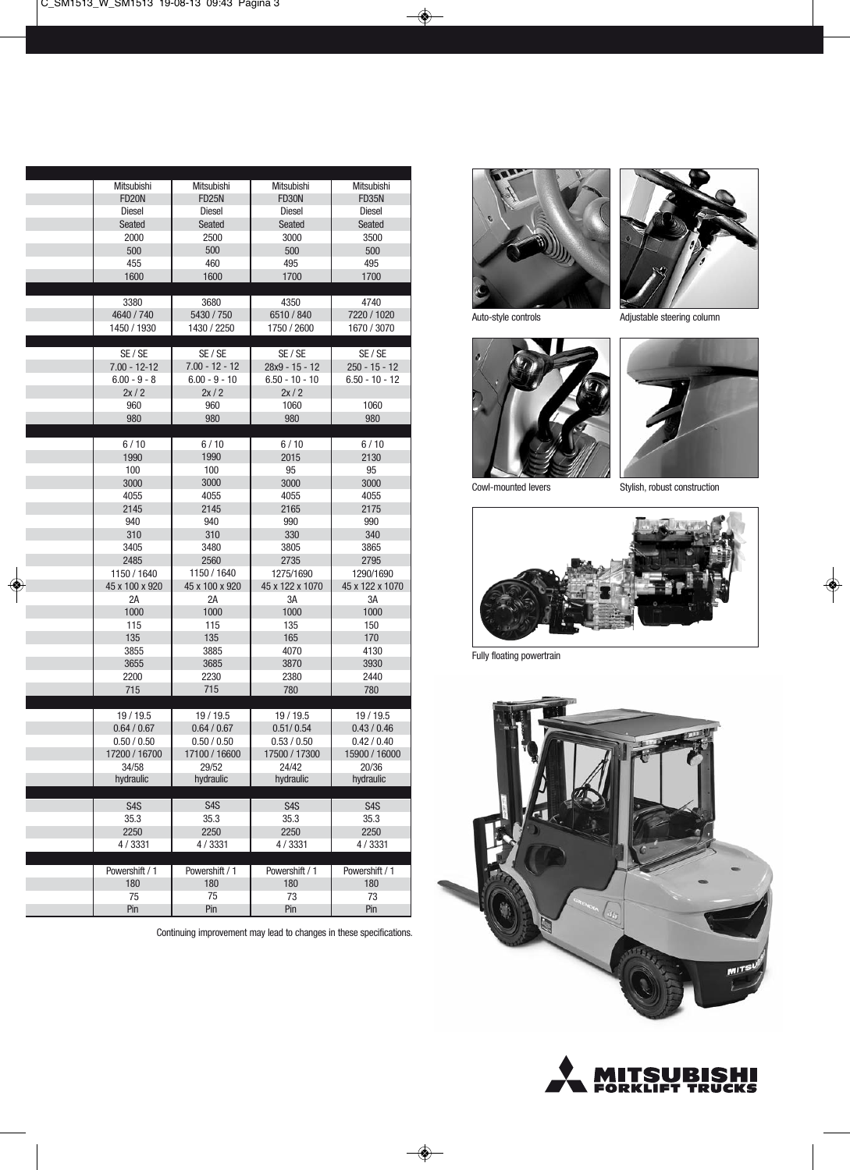| Mitsubishi       | Mitsubishi       | Mitsubishi       | Mitsubishi       |
|------------------|------------------|------------------|------------------|
| <b>FD20N</b>     | <b>FD25N</b>     | FD30N            | <b>FD35N</b>     |
| <b>Diesel</b>    | <b>Diesel</b>    | <b>Diesel</b>    | Diesel           |
| Seated           | <b>Seated</b>    | Seated           | Seated           |
| 2000             | 2500             | 3000             | 3500             |
| 500              | 500              | 500              | 500              |
| 455              | 460              | 495              | 495              |
| 1600             | 1600             | 1700             | 1700             |
|                  |                  |                  |                  |
| 3380             | 3680             | 4350             | 4740             |
| 4640 / 740       | 5430 / 750       | 6510 / 840       | 7220 / 1020      |
| 1450 / 1930      | 1430 / 2250      | 1750 / 2600      | 1670 / 3070      |
|                  |                  |                  |                  |
| SE / SE          | SE / SE          | SE / SE          | SE / SE          |
| $7.00 - 12 - 12$ | $7.00 - 12 - 12$ | 28x9 - 15 - 12   | $250 - 15 - 12$  |
| $6.00 - 9 - 8$   | $6.00 - 9 - 10$  | $6.50 - 10 - 10$ | $6.50 - 10 - 12$ |
| 2x/2             | 2x/2             | 2x/2             |                  |
| 960              | 960              | 1060             | 1060             |
| 980              | 980              | 980              | 980              |
| 6/10             | 6/10             | 6/10             | 6/10             |
| 1990             | 1990             | 2015             | 2130             |
| 100              | 100              | 95               | 95               |
| 3000             | 3000             | 3000             | 3000             |
| 4055             | 4055             | 4055             | 4055             |
| 2145             | 2145             | 2165             | 2175             |
| 940              | 940              | 990              | 990              |
| 310              | 310              | 330              | 340              |
| 3405             | 3480             | 3805             | 3865             |
| 2485             | 2560             | 2735             | 2795             |
| 1150 / 1640      | 1150 / 1640      | 1275/1690        | 1290/1690        |
| 45 x 100 x 920   | 45 x 100 x 920   | 45 x 122 x 1070  | 45 x 122 x 1070  |
| 2A               | 2A               | 3A               | 3A               |
| 1000             | 1000             | 1000             | 1000             |
| 115              | 115              | 135              | 150              |
| 135              | 135              | 165              | 170              |
| 3855             | 3885             | 4070             | 4130             |
| 3655             | 3685             | 3870             | 3930             |
| 2200             | 2230             | 2380             | 2440             |
| 715              | 715              | 780              | 780              |
|                  |                  |                  |                  |
| 19/19.5          | 19/19.5          | 19/19.5          | 19 / 19.5        |
| 0.64 / 0.67      | 0.64 / 0.67      | 0.51/0.54        | 0.43 / 0.46      |
| 0.50 / 0.50      | 0.50 / 0.50      | 0.53 / 0.50      | 0.42 / 0.40      |
| 17200 / 16700    | 17100 / 16600    | 17500 / 17300    | 15900 / 16000    |
| 34/58            | 29/52            | 24/42            | 20/36            |
| hydraulic        | hydraulic        | hydraulic        | hydraulic        |
| S <sub>4</sub> S | S <sub>4</sub> S | S <sub>4</sub> S | S <sub>4</sub> S |
| 35.3             | 35.3             | 35.3             | 35.3             |
| 2250             | 2250             | 2250             | 2250             |
| 4/3331           | 4/3331           | 4/3331           | 4/3331           |
|                  |                  |                  |                  |
| Powershift / 1   | Powershift / 1   | Powershift / 1   | Powershift / 1   |
| 180              | 180              | 180              | 180              |
| 75               | 75               | 73               | 73               |
| Pin              | Pin              | Pin              | Pin              |

i.

Continuing improvement may lead to changes in these specifications.





Auto-style controls Adjustable steering column





Cowl-mounted levers Stylish, robust construction



Fully floating powertrain



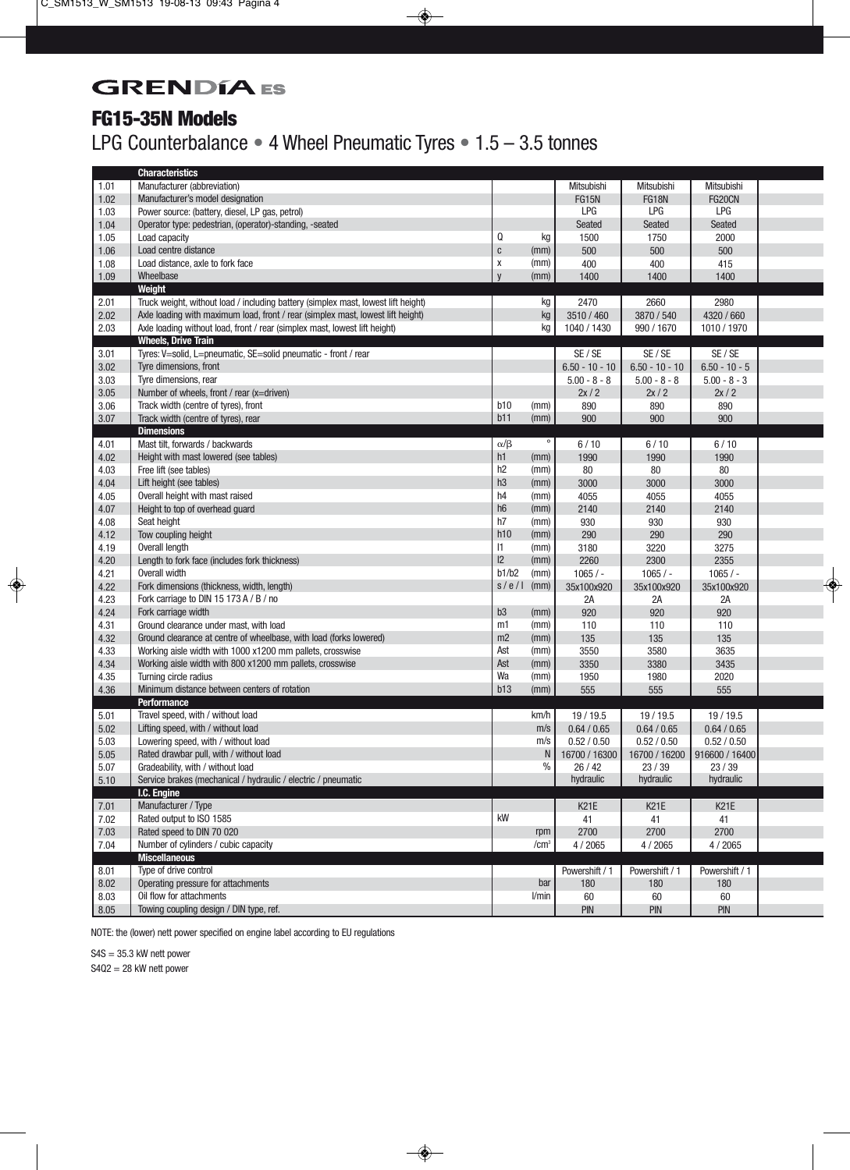## **GRENDÍA** ES

#### **FG15-35N Models**

## LPG Counterbalance **•** 4 Wheel Pneumatic Tyres **•** 1.5 – 3.5 tonnes

|        | <b>Characteristics</b>                                                            |                |                  |                   |                  |                 |  |
|--------|-----------------------------------------------------------------------------------|----------------|------------------|-------------------|------------------|-----------------|--|
| 1.01   | Manufacturer (abbreviation)                                                       |                |                  | Mitsubishi        | Mitsubishi       | Mitsubishi      |  |
| 1.02   | Manufacturer's model designation                                                  |                |                  | <b>FG15N</b>      | <b>FG18N</b>     | FG20CN          |  |
| 1.03   | Power source: (battery, diesel, LP gas, petrol)                                   |                |                  | LPG               | LPG              | LPG             |  |
| 1.04   | Operator type: pedestrian, (operator)-standing, -seated                           |                |                  | Seated            | Seated           | Seated          |  |
| 1.05   | Load capacity                                                                     | Q              | kg               | 1500              | 1750             | 2000            |  |
| 1.06   | Load centre distance                                                              | $\mathbf c$    | (mm)             | 500               | 500              | 500             |  |
| 1.08   | Load distance, axle to fork face                                                  | X              | (mm)             | 400               | 400              | 415             |  |
| 1.09   | Wheelbase                                                                         | $\mathsf{V}$   | (mm)             | 1400              | 1400             | 1400            |  |
|        | Weight                                                                            |                |                  |                   |                  |                 |  |
| 2.01   | Truck weight, without load / including battery (simplex mast, lowest lift height) |                | kg               | 2470              | 2660             | 2980            |  |
| 2.02   | Axle loading with maximum load, front / rear (simplex mast, lowest lift height)   |                | kg               | 3510 / 460        | 3870 / 540       | 4320 / 660      |  |
| 2.03   | Axle loading without load, front / rear (simplex mast, lowest lift height)        |                | kg               | 1040 / 1430       | 990 / 1670       | 1010 / 1970     |  |
|        | <b>Wheels, Drive Train</b>                                                        |                |                  |                   |                  |                 |  |
| 3.01   | Tyres: V=solid, L=pneumatic, SE=solid pneumatic - front / rear                    |                |                  | SE / SE           | SE / SE          | SE / SE         |  |
| 3.02   | Tyre dimensions, front                                                            |                |                  | $6.50 - 10 - 10$  | $6.50 - 10 - 10$ | $6.50 - 10 - 5$ |  |
| 3.03   | Tyre dimensions, rear                                                             |                |                  | $5.00 - 8 - 8$    | $5.00 - 8 - 8$   | $5.00 - 8 - 3$  |  |
| 3.05   | Number of wheels, front / rear (x=driven)                                         |                |                  | 2x/2              | 2x/2             | 2x/2            |  |
| 3.06   | Track width (centre of tyres), front                                              | b10            | (mm)             | 890               | 890              | 890             |  |
| 3.07   | Track width (centre of tyres), rear                                               | b11            | (mm)             | 900               | 900              | 900             |  |
|        | <b>Dimensions</b>                                                                 |                |                  |                   |                  |                 |  |
| 4.01   | Mast tilt, forwards / backwards                                                   | $\alpha/\beta$ | $\circ$          | 6/10              | 6/10             | 6/10            |  |
| 4.02   | Height with mast lowered (see tables)                                             | h1             | (mm)             | 1990              | 1990             | 1990            |  |
| 4.03   | Free lift (see tables)                                                            | h2             | (mm)             | 80                | 80               | 80              |  |
| 4.04   | Lift height (see tables)                                                          | h3             | (mm)             | 3000              | 3000             | 3000            |  |
| 4.05   | Overall height with mast raised                                                   | h4             | (mm)             | 4055              | 4055             | 4055            |  |
| 4.07   | Height to top of overhead guard                                                   | h6             | (mm)             | 2140              | 2140             | 2140            |  |
| 4.08   | Seat height                                                                       | h7             | (mm)             | 930               | 930              | 930             |  |
| 4.12   | Tow coupling height                                                               | h10            | (mm)             | 290               | 290              | 290             |  |
| 4.19   | Overall length                                                                    | $\mathsf{I}$   | (mm)             | 3180              | 3220             | 3275            |  |
| 4.20   | Length to fork face (includes fork thickness)                                     | 2              | (mm)             | 2260              | 2300             | 2355            |  |
| 4.21   | Overall width                                                                     | b1/b2          | (mm)             | $1065/ -$         | $1065/ -$        | $1065/ -$       |  |
| 4.22   | Fork dimensions (thickness, width, length)                                        | s/e/l          | (mm)             | 35x100x920        | 35x100x920       | 35x100x920      |  |
| 4.23   | Fork carriage to DIN 15 173 A / B / no                                            |                |                  | 2A                | 2A               | 2A              |  |
| 4.24   | Fork carriage width                                                               | b <sub>3</sub> | (mm)             | 920               | 920              | 920             |  |
| 4.31   | Ground clearance under mast, with load                                            | m1             | (mm)             | 110               | 110              | 110             |  |
| 4.32   | Ground clearance at centre of wheelbase, with load (forks lowered)                | m2             | (mm)             | 135               | 135              | 135             |  |
| 4.33   | Working aisle width with 1000 x1200 mm pallets, crosswise                         | Ast            | (mm)             | 3550              | 3580             | 3635            |  |
| 4.34   | Working aisle width with 800 x1200 mm pallets, crosswise                          | Ast            | (mm)             | 3350              | 3380             | 3435            |  |
| 4.35   | Turning circle radius                                                             | Wa             | (mm)             | 1950              | 1980             | 2020            |  |
| 4.36   | Minimum distance between centers of rotation                                      | b13            | (mm)             | 555               | 555              | 555             |  |
|        | <b>Performance</b>                                                                |                |                  |                   |                  |                 |  |
| 5.01   | Travel speed, with / without load                                                 |                | km/h             | 19 / 19.5         | 19 / 19.5        | 19 / 19.5       |  |
| 5.02   | Lifting speed, with / without load                                                |                | m/s              | 0.64 / 0.65       | 0.64 / 0.65      | 0.64 / 0.65     |  |
| 5.03   | Lowering speed, with / without load                                               |                | m/s              | 0.52 / 0.50       | 0.52 / 0.50      | 0.52 / 0.50     |  |
| 5.05   | Rated drawbar pull, with / without load                                           |                | N                | 16700 / 16300     | 16700 / 16200    | 916600 / 16400  |  |
| $5.07$ | Gradeability, with / without load                                                 |                | $\%$             | 26/42             | 23/39            | 23/39           |  |
| 5.10   | Service brakes (mechanical / hydraulic / electric / pneumatic                     |                |                  | hydraulic         | hydraulic        | hydraulic       |  |
|        | I.C. Engine                                                                       |                |                  |                   |                  |                 |  |
| 7.01   | Manufacturer / Type                                                               |                |                  | K <sub>21</sub> E | <b>K21E</b>      | <b>K21E</b>     |  |
| 7.02   | Rated output to ISO 1585                                                          | kW             |                  | 41                | 41               | 41              |  |
| $7.03$ | Rated speed to DIN 70 020                                                         |                | rpm              | 2700              | 2700             | 2700            |  |
| 7.04   | Number of cylinders / cubic capacity                                              |                | /cm <sup>3</sup> | 4/2065            | 4 / 2065         | 4 / 2065        |  |
|        | <b>Miscellaneous</b>                                                              |                |                  |                   |                  |                 |  |
| 8.01   | Type of drive control                                                             |                |                  | Powershift / 1    | Powershift / 1   | Powershift / 1  |  |
| 8.02   | Operating pressure for attachments                                                |                | bar              | 180               | 180              | 180             |  |
| 8.03   | Oil flow for attachments                                                          |                | l/min            | 60                | 60               | 60              |  |
| 8.05   | Towing coupling design / DIN type, ref.                                           |                |                  | PIN               | PIN              | PIN             |  |

NOTE: the (lower) nett power specified on engine label according to EU regulations

 $S4S = 35.3$  kW nett power

S4Q2 = 28 kW nett power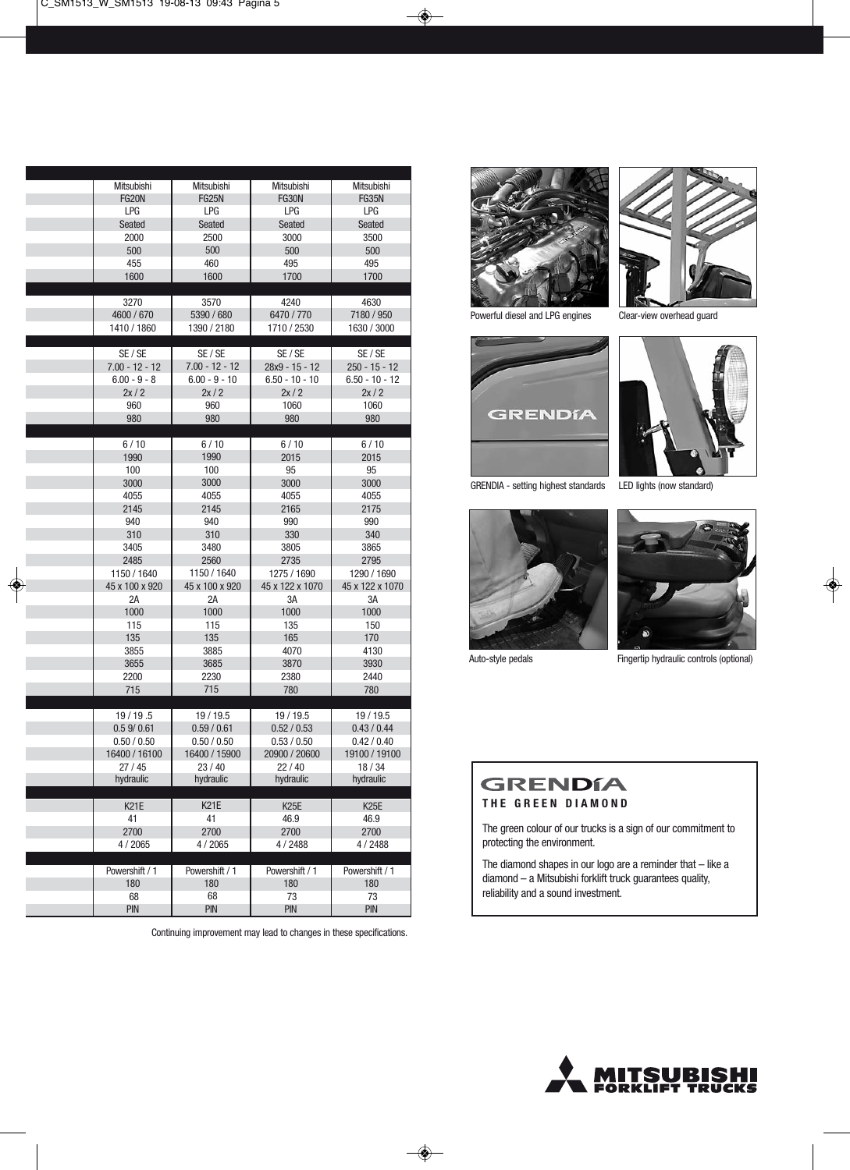| Mitsubishi       | Mitsubishi      | Mitsubishi        | Mitsubishi        |
|------------------|-----------------|-------------------|-------------------|
| <b>FG20N</b>     | <b>FG25N</b>    | <b>FG30N</b>      | <b>FG35N</b>      |
| LPG              | LPG             | <b>LPG</b>        | LPG               |
| Seated           | Seated          | Seated            | Seated            |
| 2000             | 2500            | 3000              | 3500              |
| 500              | 500             | 500               | 500               |
| 455              | 460             | 495               | 495               |
| 1600             | 1600            | 1700              | 1700              |
|                  |                 |                   |                   |
| 3270             | 3570            | 4240              | 4630              |
| 4600 / 670       | 5390 / 680      | 6470 / 770        | 7180 / 950        |
| 1410 / 1860      | 1390 / 2180     | 1710 / 2530       | 1630 / 3000       |
|                  |                 |                   |                   |
| SE / SE          | SE / SE         | SE / SE           | SE / SE           |
| $7.00 - 12 - 12$ | 7.00 - 12 - 12  | 28x9 - 15 - 12    | $250 - 15 - 12$   |
| $6.00 - 9 - 8$   | $6.00 - 9 - 10$ | $6.50 - 10 - 10$  | $6.50 - 10 - 12$  |
| 2x/2             | 2x/2            | 2x/2              | 2x/2              |
| 960              | 960             | 1060              | 1060              |
| 980              | 980             | 980               | 980               |
|                  |                 |                   |                   |
| 6/10             | 6/10            | 6/10              | 6/10              |
| 1990             | 1990            | 2015              | 2015              |
| 100              | 100             | 95                | 95                |
| 3000             | 3000            | 3000              | 3000              |
| 4055             | 4055            | 4055              | 4055              |
| 2145             | 2145            | 2165              | 2175              |
| 940              | 940             | 990               | 990               |
| 310              | 310             | 330               | 340               |
|                  |                 |                   |                   |
| 3405             | 3480            | 3805              | 3865              |
| 2485             | 2560            | 2735              | 2795              |
| 1150 / 1640      | 1150 / 1640     | 1275 / 1690       | 1290 / 1690       |
| 45 x 100 x 920   | 45 x 100 x 920  | 45 x 122 x 1070   | 45 x 122 x 1070   |
| 2A               | 2A              | 3A                | 3A                |
| 1000             | 1000            | 1000              | 1000              |
| 115              | 115             | 135               | 150               |
| 135              | 135             | 165               | 170               |
| 3855             | 3885            | 4070              | 4130              |
| 3655             | 3685            | 3870              | 3930              |
| 2200             | 2230            | 2380              | 2440              |
| 715              | 715             | 780               | 780               |
|                  |                 |                   |                   |
| 19/19.5          | 19 / 19.5       | 19/19.5           | 19 / 19.5         |
| 0.59/0.61        | 0.59 / 0.61     | 0.52 / 0.53       | 0.43/0.44         |
| 0.50 / 0.50      | 0.50 / 0.50     | 0.53 / 0.50       | 0.42 / 0.40       |
| 16400 / 16100    | 16400 / 15900   | 20900 / 20600     | 19100 / 19100     |
| 27/45            | 23/40           | 22/40             | 18 / 34           |
| hydraulic        | hydraulic       | hydraulic         | hydraulic         |
|                  |                 |                   |                   |
| <b>K21E</b>      | <b>K21E</b>     | K <sub>25</sub> E | K <sub>25</sub> E |
| 41               | 41              | 46.9              | 46.9              |
| 2700             | 2700            | 2700              | 2700              |
| 4/2065           | 4/2065          | 4/2488            | 4/2488            |
|                  |                 |                   |                   |
| Powershift / 1   | Powershift / 1  | Powershift / 1    | Powershift / 1    |
| 180              | 180             | 180               | 180               |
| 68               | 68              | 73                | 73                |
| <b>PIN</b>       | <b>PIN</b>      | <b>PIN</b>        | <b>PIN</b>        |

Continuing improvement may lead to changes in these specifications.



Powerful diesel and LPG engines Clear-view overhead guard



GRENDIA - setting highest standards LED lights (now standard)









Auto-style pedals Fingertip hydraulic controls (optional)

## **GRENDÍA**

**THE GREEN DIAMOND**

The green colour of our trucks is a sign of our commitment to protecting the environment.

The diamond shapes in our logo are a reminder that – like a diamond – a Mitsubishi forklift truck guarantees quality, reliability and a sound investment.

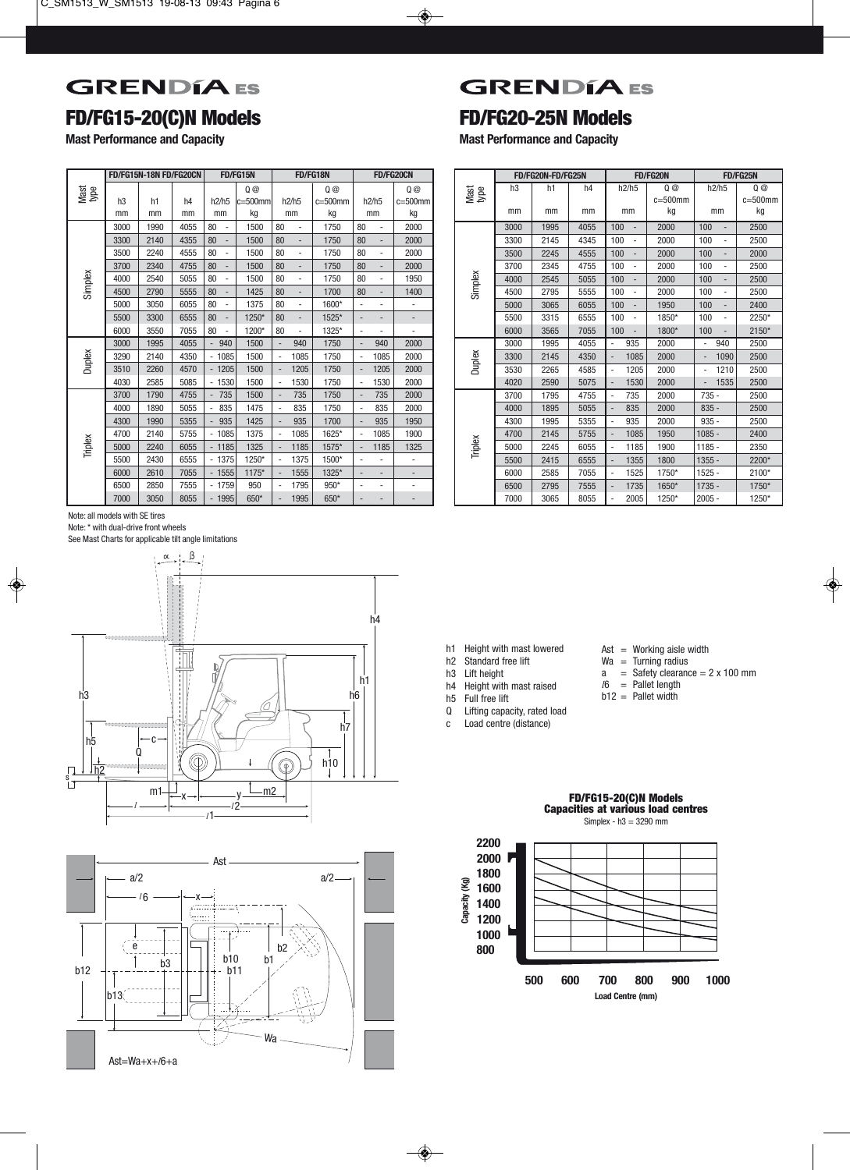## **GRENDÍA** ES

## **FD/FG15-20(C)N Models**

**Mast Performance and Capacity**

|              |      | FD/FG15N-18N FD/FG20CN |                |                                | FD/FG15N  |                                 | FD/FG18N     |                                                      | FD/FG20CN                |  |              |                | FD/FG20N-FD/FG25N |      |                                 | <b>FD/FG20N</b> |                                 | FD/FG25N       |
|--------------|------|------------------------|----------------|--------------------------------|-----------|---------------------------------|--------------|------------------------------------------------------|--------------------------|--|--------------|----------------|-------------------|------|---------------------------------|-----------------|---------------------------------|----------------|
| Mast<br>type |      |                        |                |                                | 0@        |                                 | 0@           |                                                      | 0@                       |  | Mast<br>type | h <sub>3</sub> | h1                | h4   | h2/h5                           | 0@              | h2/h5                           |                |
|              | h3   | h1                     | h <sub>4</sub> | h2/h5                          | $=500$ mm | h2/h5                           | $c = 500$ mm | h2/h5                                                | $c = 500$ mm             |  |              |                |                   |      |                                 | $c = 500$ mm    |                                 | $c=5$          |
|              | mm   | mm                     | mm             | mm                             | kg        | mm                              | kg           | mm                                                   | kg                       |  |              | mm             | mm                | mm   | mm                              | kg              | mm                              |                |
|              | 3000 | 1990                   | 4055           | 80                             | 1500      | 80                              | 1750         | 80<br>٠                                              | 2000                     |  |              | 3000           | 1995              | 4055 | 100                             | 2000            | 100<br>$\sim$                   | 25             |
|              | 3300 | 2140                   | 4355           | 80                             | 1500      | 80<br>$\overline{\phantom{a}}$  | 1750         | 80<br>$\overline{\phantom{a}}$                       | 2000                     |  |              | 3300           | 2145              | 4345 | 100                             | 2000            | 100<br>$\sim$                   | 25             |
|              | 3500 | 2240                   | 4555           | 80<br>$\overline{\phantom{a}}$ | 1500      | 80<br>$\overline{\phantom{a}}$  | 1750         | 80<br>٠                                              | 2000                     |  |              | 3500           | 2245              | 4555 | 100                             | 2000            | 100<br>$\overline{\phantom{a}}$ | 2(             |
|              | 3700 | 2340                   | 4755           | 80                             | 1500      | 80                              | 1750         | 80                                                   | 2000                     |  |              | 3700           | 2345              | 4755 | 100                             | 2000            | 100<br>$\overline{\phantom{a}}$ | 25             |
|              | 4000 | 2540                   | 5055           | 80                             | 1500      | 80<br>$\overline{\phantom{a}}$  | 1750         | 80<br>$\sim$                                         | 1950                     |  |              | 4000           | 2545              | 5055 | 100                             | 2000            | 100<br>$\overline{\phantom{a}}$ | 25             |
| Simplex      | 4500 | 2790                   | 5555           | 80                             | 1425      | 80<br>$\overline{\phantom{a}}$  | 1700         | 80<br>$\overline{\phantom{a}}$                       | 1400                     |  | Simplex      | 4500           | 2795              | 5555 | 100                             | 2000            | 100<br>$\sim$                   | 25             |
|              | 5000 | 3050                   | 6055           | 80                             | 1375      | 80<br>$\overline{\phantom{a}}$  | 1600*        | $\overline{\phantom{a}}$<br>$\overline{\phantom{0}}$ |                          |  |              | 5000           | 3065              | 6055 | 100                             | 1950            | 100<br>$\overline{\phantom{a}}$ | 2 <sub>4</sub> |
|              | 5500 | 3300                   | 6555           | 80                             | 1250*     | 80<br>$\overline{\phantom{a}}$  | 1525*        | $\overline{\phantom{a}}$<br>$\overline{\phantom{a}}$ | $\overline{\phantom{a}}$ |  |              | 5500           | 3315              | 6555 | 100                             | 1850*           | 100<br>$\sim$                   |                |
|              | 6000 | 3550                   | 7055           | 80<br>$\overline{\phantom{a}}$ | 1200*     | 80<br>$\overline{\phantom{a}}$  | 1325*        | ٠<br>$\overline{\phantom{a}}$                        | $\overline{\phantom{a}}$ |  |              | 6000           | 3565              | 7055 | 100<br>$\overline{\phantom{a}}$ | 1800*           | 100<br>$\overline{\phantom{a}}$ | $2 -$          |
|              | 3000 | 1995                   | 4055           | 940                            | 1500      | 940                             | 1750         | 940                                                  | 2000                     |  |              | 3000           | 1995              | 4055 | 935<br>÷.                       | 2000            | 940                             | 25             |
| Duplex       | 3290 | 2140                   | 4350           | 1085                           | 1500      | 1085<br>$\sim$                  | 1750         | 1085                                                 | 2000                     |  | Duplex       | 3300           | 2145              | 4350 | 1085                            | 2000            | 1090                            | 25             |
|              | 3510 | 2260                   | 4570           | $-1205$                        | 1500      | 1205                            | 1750         | 1205                                                 | 2000                     |  |              | 3530           | 2265              | 4585 | 1205<br>÷.                      | 2000            | 1210                            | 25             |
|              | 4030 | 2585                   | 5085           | $-1530$                        | 1500      | 1530<br>$\sim$                  | 1750         | 1530<br>٠                                            | 2000                     |  |              | 4020           | 2590              | 5075 | 1530                            | 2000            | 1535                            | 25             |
|              | 3700 | 1790                   | 4755           | $-735$                         | 1500      | 735<br>$\overline{\phantom{a}}$ | 1750         | 735<br>$\overline{\phantom{a}}$                      | 2000                     |  |              | 3700           | 1795              | 4755 | 735<br>$\overline{\phantom{a}}$ | 2000            | $735 -$                         | 25             |
|              | 4000 | 1890                   | 5055           | 835                            | 1475      | 835                             | 1750         | 835                                                  | 2000                     |  |              | 4000           | 1895              | 5055 | 835                             | 2000            | $835 -$                         | 25             |
|              | 4300 | 1990                   | 5355           | 935                            | 1425      | 935                             | 1700         | 935                                                  | 1950                     |  |              | 4300           | 1995              | 5355 | 935                             | 2000            | $935 -$                         | 25             |
|              | 4700 | 2140                   | 5755           | 1085                           | 1375      | 1085                            | 1625*        | 1085                                                 | 1900                     |  |              | 4700           | 2145              | 5755 | 1085                            | 1950            | $1085 -$                        | 2 <sub>4</sub> |
| Triplex      | 5000 | 2240                   | 6055           | 1185                           | 1325      | 1185                            | 1575*        | 1185                                                 | 1325                     |  | Triplex      | 5000           | 2245              | 6055 | 1185                            | 1900            | $1185 -$                        | $2^{\circ}$    |
|              | 5500 | 2430                   | 6555           | $-1375$                        | 1250*     | 1375<br>$\sim$                  | 1500*        |                                                      |                          |  |              | 5500           | 2415              | 6555 | 1355                            | 1800            | $1355 -$                        | 2 <sub>1</sub> |
|              | 6000 | 2610                   | 7055           | $-1555$                        | $1175*$   | 1555                            | 1325*        | $\overline{\phantom{a}}$                             | ٠                        |  |              | 6000           | 2585              | 7055 | 1525<br>÷.                      | 1750*           | $1525 -$                        | $2^{\circ}$    |
|              | 6500 | 2850                   | 7555           | $-1759$                        | 950       | 1795<br>$\blacksquare$          | $950*$       |                                                      |                          |  |              | 6500           | 2795              | 7555 | 1735                            | 1650*           | $1735 -$                        | 17             |
|              | 7000 | 3050                   | 8055           | $-1995$                        | 650*      | 1995                            | 650*         |                                                      |                          |  |              | 7000           | 3065              | 8055 | 2005                            | 1250*           | $2005 -$                        | 12             |

**GRENDÍA** ES

## **FD/FG20-25N Models**

**Mast Performance and Capacity**

|              |                | FD/FG20N-FD/FG25N |                |                                      | FD/FG20N     |                                  | <b>FD/FG25N</b> |
|--------------|----------------|-------------------|----------------|--------------------------------------|--------------|----------------------------------|-----------------|
| Mast<br>type | h <sub>3</sub> | h1                | h <sub>4</sub> | h2/h5                                | 0@           | h2/h5                            | 0@              |
|              |                |                   |                |                                      | $c = 500$ mm |                                  | $c = 500$ mm    |
|              | mm             | mm                | mm             | mm                                   | kg           | mm                               | kg              |
|              | 3000           | 1995              | 4055           | 100<br>$\overline{a}$                | 2000         | 100                              | 2500            |
|              | 3300           | 2145              | 4345           | 100<br>÷,                            | 2000         | 100<br>٠                         | 2500            |
|              | 3500           | 2245              | 4555           | 100<br>$\overline{\phantom{a}}$      | 2000         | 100<br>$\overline{\phantom{a}}$  | 2000            |
|              | 3700           | 2345              | 4755           | 100                                  | 2000         | 100                              | 2500            |
| Simplex      | 4000           | 2545              | 5055           | 100                                  | 2000         | 100                              | 2500            |
|              | 4500           | 2795              | 5555           | 100<br>÷,                            | 2000         | 100<br>÷,                        | 2500            |
|              | 5000           | 3065              | 6055           | 100<br>$\overline{\phantom{a}}$      | 1950         | 100<br>$\qquad \qquad -$         | 2400            |
|              | 5500           | 3315              | 6555           | 100<br>÷,                            | 1850*        | 100                              | 2250*           |
|              | 6000           | 3565              | 7055           | 100                                  | 1800*        | 100                              | 2150*           |
|              | 3000           | 1995              | 4055           | 935<br>$\overline{a}$                | 2000         | 940                              | 2500            |
| Duplex       | 3300           | 2145              | 4350           | 1085<br>$\overline{\phantom{0}}$     | 2000         | 1090<br>$\overline{\phantom{0}}$ | 2500            |
|              | 3530           | 2265              | 4585           | 1205<br>÷,                           | 2000         | 1210<br>٠                        | 2500            |
|              | 4020           | 2590              | 5075           | 1530<br>$\overline{a}$               | 2000         | 1535<br>-                        | 2500            |
|              | 3700           | 1795              | 4755           | 735<br>÷,                            | 2000         | $735 -$                          | 2500            |
|              | 4000           | 1895              | 5055           | 835<br>$\overline{a}$                | 2000         | $835 -$                          | 2500            |
|              | 4300           | 1995              | 5355           | 935<br>÷,                            | 2000         | $935 -$                          | 2500            |
|              | 4700           | 2145              | 5755           | 1085<br>$\overline{a}$               | 1950         | $1085 -$                         | 2400            |
| Triplex      | 5000           | 2245              | 6055           | 1185<br>÷,                           | 1900         | $1185 -$                         | 2350            |
|              | 5500           | 2415              | 6555           | 1355<br>$\overline{\phantom{0}}$     | 1800         | $1355 -$                         | 2200*           |
|              | 6000           | 2585              | 7055           | 1525<br>٠                            | 1750*        | $1525 -$                         | 2100*           |
|              | 6500           | 2795              | 7555           | 1735<br>$\qquad \qquad \blacksquare$ | 1650*        | $1735 -$                         | 1750*           |
|              | 7000           | 3065              | 8055           | 2005<br>$\overline{a}$               | 1250*        | $2005 -$                         | 1250*           |

Note: all models with SE tires

Note: \* with dual-drive front wheels

See Mast Charts for applicable tilt angle limitations





| h1 |  |  | Height with mast lowered |
|----|--|--|--------------------------|
|----|--|--|--------------------------|

- h2 Standard free lift
- h3 Lift height<br>h4 Height with
- 
- h4 Height with mast raised<br>h5 Full free lift h5 Full free lift<br>Q Lifting capa
- Lifting capacity, rated load
- c Load centre (distance)
- Ast  $=$  Working aisle width
- $Wa =$  Turning radius<br> $a =$  Safety clearance
- a = Safety clearance =  $2 \times 100$  mm<br>  $l6$  = Pallet length
- $=$  Pallet length
- $b12 =$  Pallet width

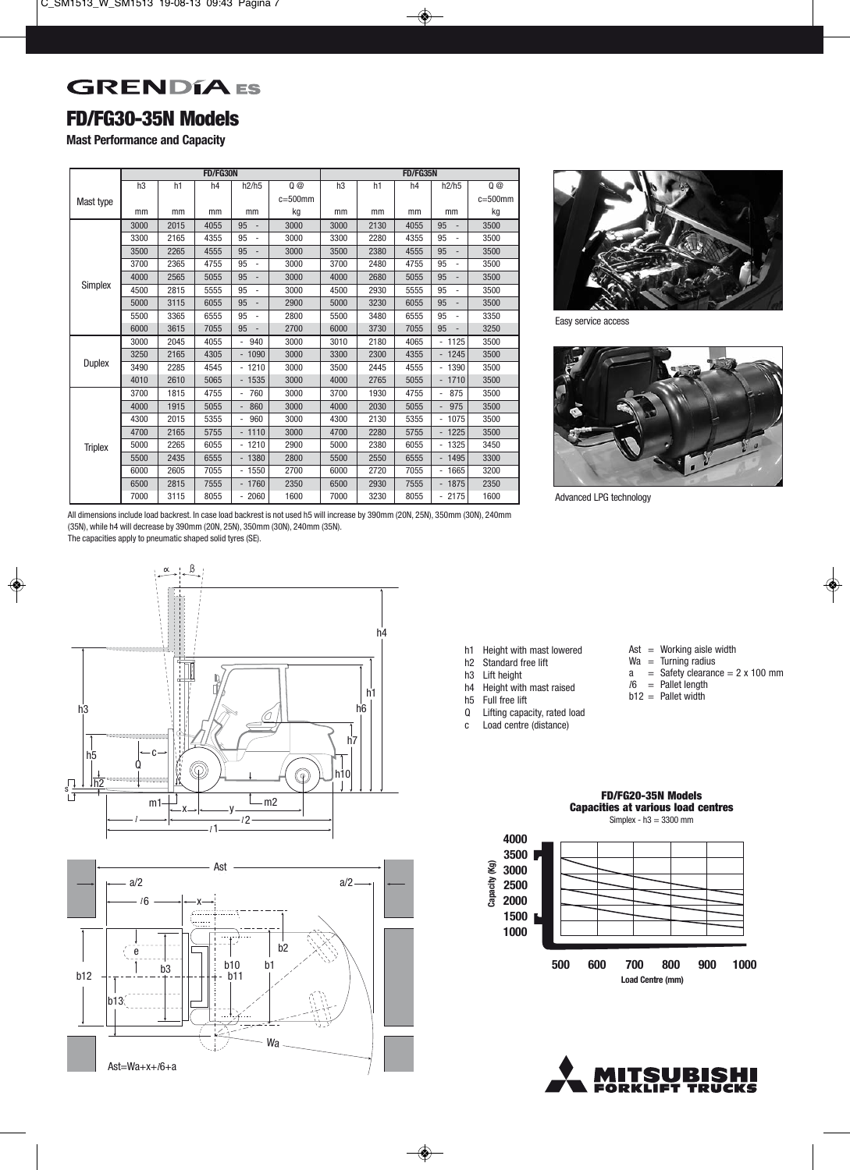## **GRENDÍA** ES

#### **FD/FG30-35N Models**

**Mast Performance and Capacity**

|                |      |      | FD/FG30N       |                                    |              | FD/FG35N |                |      |                                  |              |  |  |
|----------------|------|------|----------------|------------------------------------|--------------|----------|----------------|------|----------------------------------|--------------|--|--|
|                | h3   | h1   | h <sub>4</sub> | h2/h5                              | 0@           | h3       | h <sub>1</sub> | h4   | h2/h5                            | 0@           |  |  |
| Mast type      |      |      |                |                                    | $c = 500$ mm |          |                |      |                                  | $c = 500$ mm |  |  |
|                | mm   | mm   | mm             | mm                                 | kg           | mm       | mm             | mm   | mm                               | kg           |  |  |
|                | 3000 | 2015 | 4055           | 95<br>$\qquad \qquad \blacksquare$ | 3000         | 3000     | 2130           | 4055 | 95                               | 3500         |  |  |
|                | 3300 | 2165 | 4355           | 95<br>$\overline{a}$               | 3000         | 3300     | 2280           | 4355 | 95                               | 3500         |  |  |
|                | 3500 | 2265 | 4555           | 95                                 | 3000         | 3500     | 2380           | 4555 | 95<br>-                          | 3500         |  |  |
|                | 3700 | 2365 | 4755           | 95                                 | 3000         | 3700     | 2480           | 4755 | 95                               | 3500         |  |  |
|                | 4000 | 2565 | 5055           | 95                                 | 3000         | 4000     | 2680           | 5055 | 95                               | 3500         |  |  |
| Simplex        | 4500 | 2815 | 5555           | 95<br>÷,                           | 3000         | 4500     | 2930           | 5555 | 95<br>$\overline{a}$             | 3500         |  |  |
|                | 5000 | 3115 | 6055           | 95<br>$\qquad \qquad \blacksquare$ | 2900         | 5000     | 3230           | 6055 | 95<br>$\overline{\phantom{a}}$   | 3500         |  |  |
|                | 5500 | 3365 | 6555           | 95<br>$\overline{a}$               | 2800         | 5500     | 3480           | 6555 | 95                               | 3350         |  |  |
|                | 6000 | 3615 | 7055           | 95                                 | 2700         | 6000     | 3730           | 7055 | 95<br>$\overline{a}$             | 3250         |  |  |
|                | 3000 | 2045 | 4055           | 940<br>$\overline{a}$              | 3000         | 3010     | 2180           | 4065 | 1125                             | 3500         |  |  |
|                | 3250 | 2165 | 4305           | $-1090$                            | 3000         | 3300     | 2300           | 4355 | 1245                             | 3500         |  |  |
| <b>Duplex</b>  | 3490 | 2285 | 4545           | $-1210$                            | 3000         | 3500     | 2445           | 4555 | 1390<br>$\overline{\phantom{0}}$ | 3500         |  |  |
|                | 4010 | 2610 | 5065           | $-1535$                            | 3000         | 4000     | 2765           | 5055 | 1710                             | 3500         |  |  |
|                | 3700 | 1815 | 4755           | 760<br>$\overline{\phantom{a}}$    | 3000         | 3700     | 1930           | 4755 | 875<br>$\overline{\phantom{a}}$  | 3500         |  |  |
|                | 4000 | 1915 | 5055           | 860                                | 3000         | 4000     | 2030           | 5055 | 975<br>$\overline{\phantom{a}}$  | 3500         |  |  |
|                | 4300 | 2015 | 5355           | 960                                | 3000         | 4300     | 2130           | 5355 | 1075<br>$\overline{\phantom{0}}$ | 3500         |  |  |
|                | 4700 | 2165 | 5755           | $-1110$                            | 3000         | 4700     | 2280           | 5755 | 1225<br>$\overline{\phantom{0}}$ | 3500         |  |  |
| <b>Triplex</b> | 5000 | 2265 | 6055           | $-1210$                            | 2900         | 5000     | 2380           | 6055 | 1325                             | 3450         |  |  |
|                | 5500 | 2435 | 6555           | $-1380$                            | 2800         | 5500     | 2550           | 6555 | 1495                             | 3300         |  |  |
|                | 6000 | 2605 | 7055           | $-1550$                            | 2700         | 6000     | 2720           | 7055 | 1665<br>÷,                       | 3200         |  |  |
|                | 6500 | 2815 | 7555           | $-1760$                            | 2350         | 6500     | 2930           | 7555 | 1875<br>$\overline{\phantom{m}}$ | 2350         |  |  |
|                | 7000 | 3115 | 8055           | $-2060$                            | 1600         | 7000     | 3230           | 8055 | $-2175$                          | 1600         |  |  |



Easy service access



Advanced LPG technology

All dimensions include load backrest. In case load backrest is not used h5 will increase by 390mm (20N, 25N), 350mm (30N), 240mm (35N), while h4 will decrease by 390mm (20N, 25N), 350mm (30N), 240mm (35N).

The capacities apply to pneumatic shaped solid tyres (SE).





h1 Height with mast lowered<br>h2 Standard free lift

- Standard free lift
- h3 Lift height<br>h4 Height with
- Height with mast raised
- h5 Full free lift<br>Q Lifting capa
- Lifting capacity, rated load
- c Load centre (distance)

**4000 3500**

**Capacity (Kg)**

Capacity (Kg)

- $\text{Ast} = \text{Working}$  aisle width
- $Wa =$  Turning radius
- $a =$  Safety clearance = 2 x 100 mm *l*6 = Pallet length
- $b12 =$  Pallet width